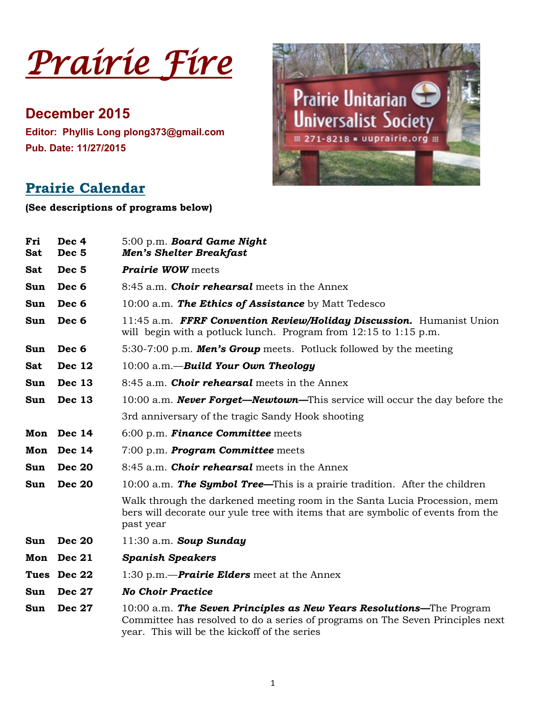*Prairie Fire* 

**December 2015 Editor: Phyllis Long plong373@gmail.com Pub. Date: 11/27/2015**



# **Prairie Calendar**

**(See descriptions of programs below)**

| Fri<br><b>Sat</b> | Dec 4<br>Dec <sub>5</sub> | 5:00 p.m. Board Game Night<br><b>Men's Shelter Breakfast</b>                                                                                                                                             |
|-------------------|---------------------------|----------------------------------------------------------------------------------------------------------------------------------------------------------------------------------------------------------|
| Sat               | Dec <sub>5</sub>          | <b>Prairie WOW</b> meets                                                                                                                                                                                 |
| Sun               | Dec 6                     | 8:45 a.m. <b>Choir rehearsal</b> meets in the Annex                                                                                                                                                      |
| Sun               | Dec 6                     | 10:00 a.m. The Ethics of Assistance by Matt Tedesco                                                                                                                                                      |
| Sun               | Dec 6                     | 11:45 a.m. FFRF Convention Review/Holiday Discussion. Humanist Union<br>will begin with a potluck lunch. Program from $12:15$ to $1:15$ p.m.                                                             |
| Sun               | Dec 6                     | 5:30-7:00 p.m. <b>Men's Group</b> meets. Potluck followed by the meeting                                                                                                                                 |
| Sat               | <b>Dec 12</b>             | $10:00$ a.m. - Build Your Own Theology                                                                                                                                                                   |
| Sun               | <b>Dec 13</b>             | 8:45 a.m. <b>Choir rehearsal</b> meets in the Annex                                                                                                                                                      |
| Sun               | <b>Dec 13</b>             | 10:00 a.m. <b>Never Forget—Newtown—</b> This service will occur the day before the                                                                                                                       |
|                   |                           | 3rd anniversary of the tragic Sandy Hook shooting                                                                                                                                                        |
| Mon               | <b>Dec 14</b>             | 6:00 p.m. Finance Committee meets                                                                                                                                                                        |
| Mon               | <b>Dec 14</b>             | $7:00$ p.m. <b>Program Committee</b> meets                                                                                                                                                               |
| Sun               | <b>Dec 20</b>             | 8:45 a.m. <b>Choir rehearsal</b> meets in the Annex                                                                                                                                                      |
| Sun               | <b>Dec 20</b>             | 10:00 a.m. The Symbol Tree—This is a prairie tradition. After the children                                                                                                                               |
|                   |                           | Walk through the darkened meeting room in the Santa Lucia Procession, mem<br>bers will decorate our yule tree with items that are symbolic of events from the<br>past year                               |
| Sun               | <b>Dec 20</b>             | $11:30$ a.m. Soup Sunday                                                                                                                                                                                 |
| Mon               | <b>Dec 21</b>             | <b>Spanish Speakers</b>                                                                                                                                                                                  |
|                   | Tues Dec 22               | 1:30 p.m.— <b>Prairie Elders</b> meet at the Annex                                                                                                                                                       |
| Sun               | <b>Dec 27</b>             | <b>No Choir Practice</b>                                                                                                                                                                                 |
| Sun               | <b>Dec 27</b>             | $10:00$ a.m. The Seven Principles as New Years Resolutions—The Program<br>Committee has resolved to do a series of programs on The Seven Principles next<br>year. This will be the kickoff of the series |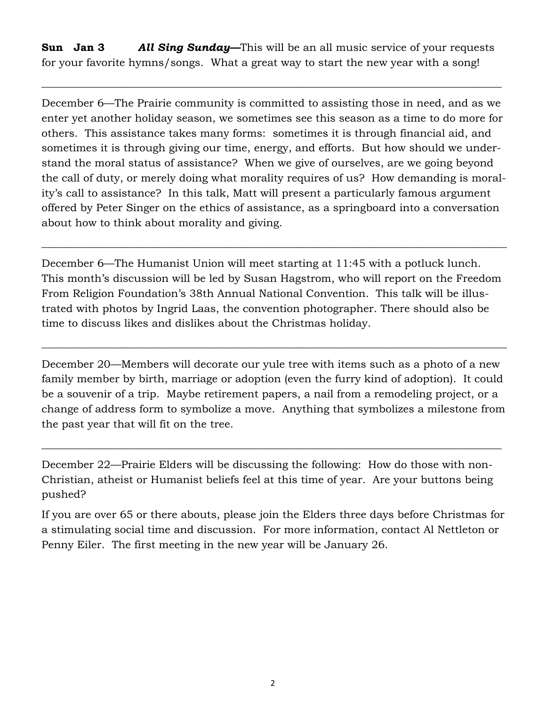**Sun Jan 3** *All Sing Sunday—*This will be an all music service of your requests for your favorite hymns/songs. What a great way to start the new year with a song!

 $\_$  , and the set of the set of the set of the set of the set of the set of the set of the set of the set of the set of the set of the set of the set of the set of the set of the set of the set of the set of the set of th

December 6—The Prairie community is committed to assisting those in need, and as we enter yet another holiday season, we sometimes see this season as a time to do more for others. This assistance takes many forms: sometimes it is through financial aid, and sometimes it is through giving our time, energy, and efforts. But how should we understand the moral status of assistance? When we give of ourselves, are we going beyond the call of duty, or merely doing what morality requires of us? How demanding is morality's call to assistance? In this talk, Matt will present a particularly famous argument offered by Peter Singer on the ethics of assistance, as a springboard into a conversation about how to think about morality and giving.

December 6—The Humanist Union will meet starting at 11:45 with a potluck lunch. This month's discussion will be led by Susan Hagstrom, who will report on the Freedom From Religion Foundation's 38th Annual National Convention. This talk will be illustrated with photos by Ingrid Laas, the convention photographer. There should also be time to discuss likes and dislikes about the Christmas holiday.

 $\_$  , and the set of the set of the set of the set of the set of the set of the set of the set of the set of the set of the set of the set of the set of the set of the set of the set of the set of the set of the set of th

December 20—Members will decorate our yule tree with items such as a photo of a new family member by birth, marriage or adoption (even the furry kind of adoption). It could be a souvenir of a trip. Maybe retirement papers, a nail from a remodeling project, or a change of address form to symbolize a move. Anything that symbolizes a milestone from the past year that will fit on the tree.

 $\_$  , and the set of the set of the set of the set of the set of the set of the set of the set of the set of the set of the set of the set of the set of the set of the set of the set of the set of the set of the set of th

December 22—Prairie Elders will be discussing the following: How do those with non-Christian, atheist or Humanist beliefs feel at this time of year. Are your buttons being pushed?

 $\_$  , and the set of the set of the set of the set of the set of the set of the set of the set of the set of the set of the set of the set of the set of the set of the set of the set of the set of the set of the set of th

If you are over 65 or there abouts, please join the Elders three days before Christmas for a stimulating social time and discussion. For more information, contact Al Nettleton or Penny Eiler. The first meeting in the new year will be January 26.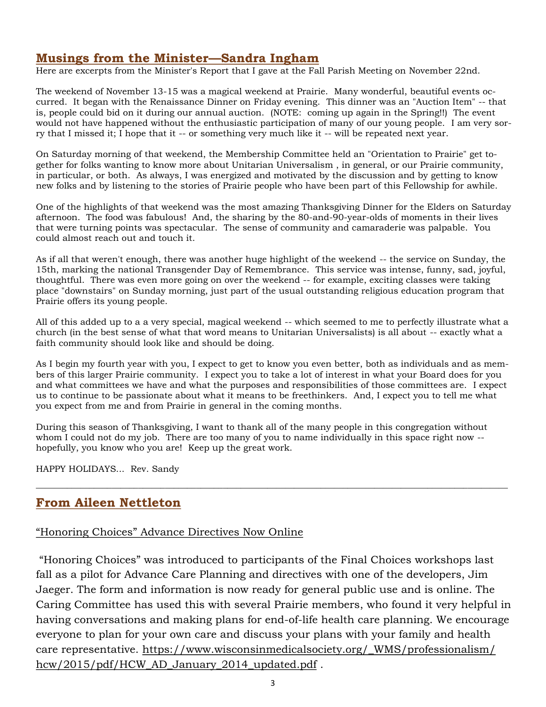### **Musings from the Minister—Sandra Ingham**

Here are excerpts from the Minister's Report that I gave at the Fall Parish Meeting on November 22nd.

The weekend of November 13-15 was a magical weekend at Prairie. Many wonderful, beautiful events occurred. It began with the Renaissance Dinner on Friday evening. This dinner was an "Auction Item" -- that is, people could bid on it during our annual auction. (NOTE: coming up again in the Spring!!) The event would not have happened without the enthusiastic participation of many of our young people. I am very sorry that I missed it; I hope that it -- or something very much like it -- will be repeated next year.

On Saturday morning of that weekend, the Membership Committee held an "Orientation to Prairie" get together for folks wanting to know more about Unitarian Universalism , in general, or our Prairie community, in particular, or both. As always, I was energized and motivated by the discussion and by getting to know new folks and by listening to the stories of Prairie people who have been part of this Fellowship for awhile.

One of the highlights of that weekend was the most amazing Thanksgiving Dinner for the Elders on Saturday afternoon. The food was fabulous! And, the sharing by the 80-and-90-year-olds of moments in their lives that were turning points was spectacular. The sense of community and camaraderie was palpable. You could almost reach out and touch it.

As if all that weren't enough, there was another huge highlight of the weekend -- the service on Sunday, the 15th, marking the national Transgender Day of Remembrance. This service was intense, funny, sad, joyful, thoughtful. There was even more going on over the weekend -- for example, exciting classes were taking place "downstairs" on Sunday morning, just part of the usual outstanding religious education program that Prairie offers its young people.

All of this added up to a a very special, magical weekend -- which seemed to me to perfectly illustrate what a church (in the best sense of what that word means to Unitarian Universalists) is all about -- exactly what a faith community should look like and should be doing.

As I begin my fourth year with you, I expect to get to know you even better, both as individuals and as members of this larger Prairie community. I expect you to take a lot of interest in what your Board does for you and what committees we have and what the purposes and responsibilities of those committees are. I expect us to continue to be passionate about what it means to be freethinkers. And, I expect you to tell me what you expect from me and from Prairie in general in the coming months.

During this season of Thanksgiving, I want to thank all of the many people in this congregation without whom I could not do my job. There are too many of you to name individually in this space right now -hopefully, you know who you are! Keep up the great work.

\_\_\_\_\_\_\_\_\_\_\_\_\_\_\_\_\_\_\_\_\_\_\_\_\_\_\_\_\_\_\_\_\_\_\_\_\_\_\_\_\_\_\_\_\_\_\_\_\_\_\_\_\_\_\_\_\_\_\_\_\_\_\_\_\_\_\_\_\_\_\_\_\_\_\_\_\_\_\_\_\_\_\_\_\_\_\_\_\_\_\_\_\_\_\_\_\_\_\_\_\_\_\_\_\_\_

HAPPY HOLIDAYS... Rev. Sandy

### **From Aileen Nettleton**

#### "Honoring Choices" Advance Directives Now Online

"Honoring Choices" was introduced to participants of the Final Choices workshops last fall as a pilot for Advance Care Planning and directives with one of the developers, Jim Jaeger. The form and information is now ready for general public use and is online. The Caring Committee has used this with several Prairie members, who found it very helpful in having conversations and making plans for end-of-life health care planning. We encourage everyone to plan for your own care and discuss your plans with your family and health care representative. [https://www.wisconsinmedicalsociety.org/\\_WMS/professionalism/](https://www.wisconsinmedicalsociety.org/_WMS/professionalism/hcw/2015/pdf/HCW_AD_January_2014_updated.pdf) [hcw/2015/pdf/HCW\\_AD\\_January\\_2014\\_updated.pdf](https://www.wisconsinmedicalsociety.org/_WMS/professionalism/hcw/2015/pdf/HCW_AD_January_2014_updated.pdf) .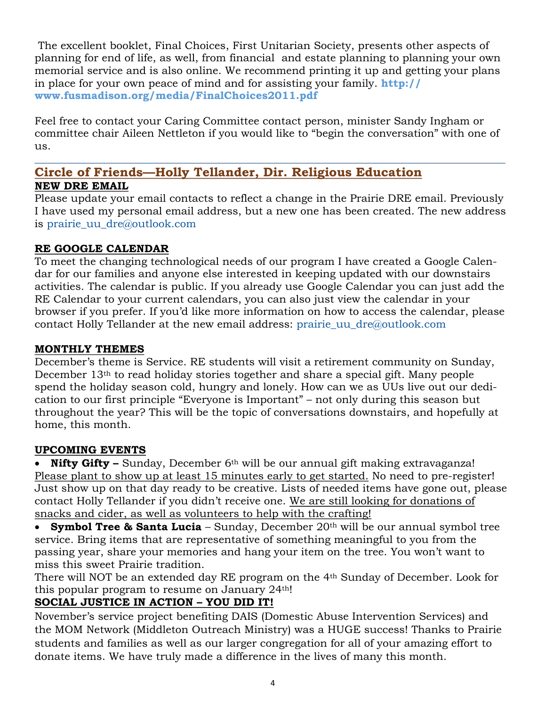The excellent booklet, Final Choices, First Unitarian Society, presents other aspects of planning for end of life, as well, from financial and estate planning to planning your own memorial service and is also online. We recommend printing it up and getting your plans in place for your own peace of mind and for assisting your family. **[http://](http://www.fusmadison.org/media/FinalChoices2011.pdf) [www.fusmadison.org/media/FinalChoices2011.pdf](http://www.fusmadison.org/media/FinalChoices2011.pdf)**

Feel free to contact your Caring Committee contact person, minister Sandy Ingham or committee chair Aileen Nettleton if you would like to "begin the conversation" with one of us.

#### \_\_\_\_\_\_\_\_\_\_\_\_\_\_\_\_\_\_\_\_\_\_\_\_\_\_\_\_\_\_\_\_\_\_\_\_\_\_\_\_\_\_\_\_\_\_\_\_\_\_\_\_\_\_\_\_\_\_\_\_\_\_\_\_\_\_\_\_\_\_\_\_\_\_\_\_\_\_\_\_\_\_\_\_\_\_\_\_ **Circle of Friends—Holly Tellander, Dir. Religious Education NEW DRE EMAIL**

Please update your email contacts to reflect a change in the Prairie DRE email. Previously I have used my personal email address, but a new one has been created. The new address is [prairie\\_uu\\_dre@outlook.com](mailto:prairie_uu_dre@outlook.com)

#### **RE GOOGLE CALENDAR**

To meet the changing technological needs of our program I have created a Google Calendar for our families and anyone else interested in keeping updated with our downstairs activities. The calendar is public. If you already use Google Calendar you can just add the RE Calendar to your current calendars, you can also just view the calendar in your browser if you prefer. If you'd like more information on how to access the calendar, please contact Holly Tellander at the new email address: [prairie\\_uu\\_dre@outlook.com](mailto:prairie_uu_dre@outlook.com)

#### **MONTHLY THEMES**

December's theme is Service. RE students will visit a retirement community on Sunday, December 13th to read holiday stories together and share a special gift. Many people spend the holiday season cold, hungry and lonely. How can we as UUs live out our dedication to our first principle "Everyone is Important" – not only during this season but throughout the year? This will be the topic of conversations downstairs, and hopefully at home, this month.

#### **UPCOMING EVENTS**

**Nifty Gifty –** Sunday, December 6<sup>th</sup> will be our annual gift making extravaganza! Please plant to show up at least 15 minutes early to get started. No need to pre-register! Just show up on that day ready to be creative. Lists of needed items have gone out, please contact Holly Tellander if you didn't receive one. We are still looking for donations of snacks and cider, as well as volunteers to help with the crafting!

**Symbol Tree & Santa Lucia** – Sunday, December 20<sup>th</sup> will be our annual symbol tree service. Bring items that are representative of something meaningful to you from the passing year, share your memories and hang your item on the tree. You won't want to miss this sweet Prairie tradition.

There will NOT be an extended day RE program on the 4th Sunday of December. Look for this popular program to resume on January 24th!

### **SOCIAL JUSTICE IN ACTION – YOU DID IT!**

November's service project benefiting DAIS (Domestic Abuse Intervention Services) and the MOM Network (Middleton Outreach Ministry) was a HUGE success! Thanks to Prairie students and families as well as our larger congregation for all of your amazing effort to donate items. We have truly made a difference in the lives of many this month.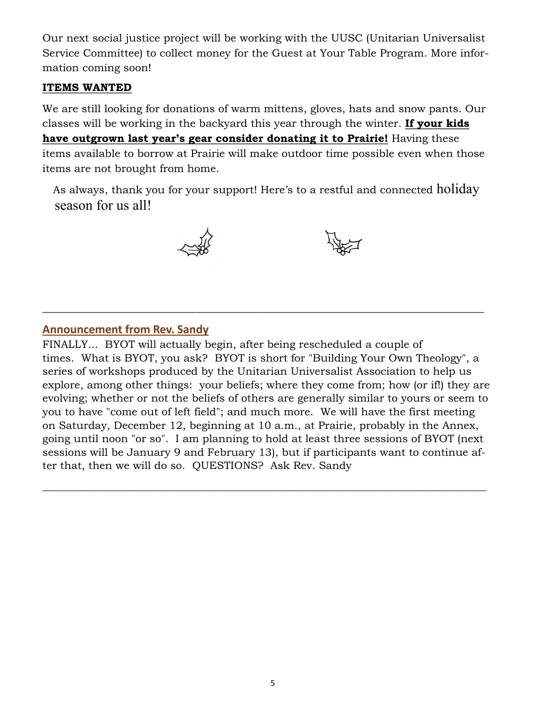Our next social justice project will be working with the UUSC (Unitarian Universalist Service Committee) to collect money for the Guest at Your Table Program. More information coming soon!

#### **ITEMS WANTED**

We are still looking for donations of warm mittens, gloves, hats and snow pants. Our classes will be working in the backyard this year through the winter. **If your kids have outgrown last year's gear consider donating it to Prairie!** Having these items available to borrow at Prairie will make outdoor time possible even when those items are not brought from home.

As always, thank you for your support! Here's to a restful and connected holiday season for us all!





#### **Announcement from Rev. Sandy**

FINALLY... BYOT will actually begin, after being rescheduled a couple of times. What is BYOT, you ask? BYOT is short for "Building Your Own Theology", a series of workshops produced by the Unitarian Universalist Association to help us explore, among other things: your beliefs; where they come from; how (or if!) they are evolving; whether or not the beliefs of others are generally similar to yours or seem to you to have "come out of left field"; and much more. We will have the first meeting on Saturday, December 12, beginning at 10 a.m., at Prairie, probably in the Annex, going until noon "or so". I am planning to hold at least three sessions of BYOT (next sessions will be January 9 and February 13), but if participants want to continue after that, then we will do so. QUESTIONS? Ask Rev. Sandy

 $\_$  , and the set of the set of the set of the set of the set of the set of the set of the set of the set of the set of the set of the set of the set of the set of the set of the set of the set of the set of the set of th

 $\mathcal{L}_\text{max} = \frac{1}{2} \sum_{i=1}^n \mathcal{L}_\text{max}(\mathbf{z}_i - \mathbf{z}_i)$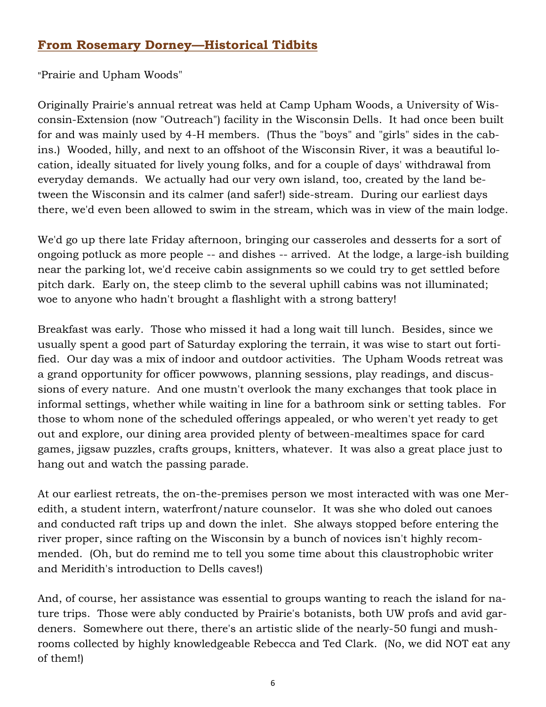## **From Rosemary Dorney—Historical Tidbits**

"Prairie and Upham Woods"

Originally Prairie's annual retreat was held at Camp Upham Woods, a University of Wisconsin-Extension (now "Outreach") facility in the Wisconsin Dells. It had once been built for and was mainly used by 4-H members. (Thus the "boys" and "girls" sides in the cabins.) Wooded, hilly, and next to an offshoot of the Wisconsin River, it was a beautiful location, ideally situated for lively young folks, and for a couple of days' withdrawal from everyday demands. We actually had our very own island, too, created by the land between the Wisconsin and its calmer (and safer!) side-stream. During our earliest days there, we'd even been allowed to swim in the stream, which was in view of the main lodge.

We'd go up there late Friday afternoon, bringing our casseroles and desserts for a sort of ongoing potluck as more people -- and dishes -- arrived. At the lodge, a large-ish building near the parking lot, we'd receive cabin assignments so we could try to get settled before pitch dark. Early on, the steep climb to the several uphill cabins was not illuminated; woe to anyone who hadn't brought a flashlight with a strong battery!

Breakfast was early. Those who missed it had a long wait till lunch. Besides, since we usually spent a good part of Saturday exploring the terrain, it was wise to start out fortified. Our day was a mix of indoor and outdoor activities. The Upham Woods retreat was a grand opportunity for officer powwows, planning sessions, play readings, and discussions of every nature. And one mustn't overlook the many exchanges that took place in informal settings, whether while waiting in line for a bathroom sink or setting tables. For those to whom none of the scheduled offerings appealed, or who weren't yet ready to get out and explore, our dining area provided plenty of between-mealtimes space for card games, jigsaw puzzles, crafts groups, knitters, whatever. It was also a great place just to hang out and watch the passing parade.

At our earliest retreats, the on-the-premises person we most interacted with was one Meredith, a student intern, waterfront/nature counselor. It was she who doled out canoes and conducted raft trips up and down the inlet. She always stopped before entering the river proper, since rafting on the Wisconsin by a bunch of novices isn't highly recommended. (Oh, but do remind me to tell you some time about this claustrophobic writer and Meridith's introduction to Dells caves!)

And, of course, her assistance was essential to groups wanting to reach the island for nature trips. Those were ably conducted by Prairie's botanists, both UW profs and avid gardeners. Somewhere out there, there's an artistic slide of the nearly-50 fungi and mushrooms collected by highly knowledgeable Rebecca and Ted Clark. (No, we did NOT eat any of them!)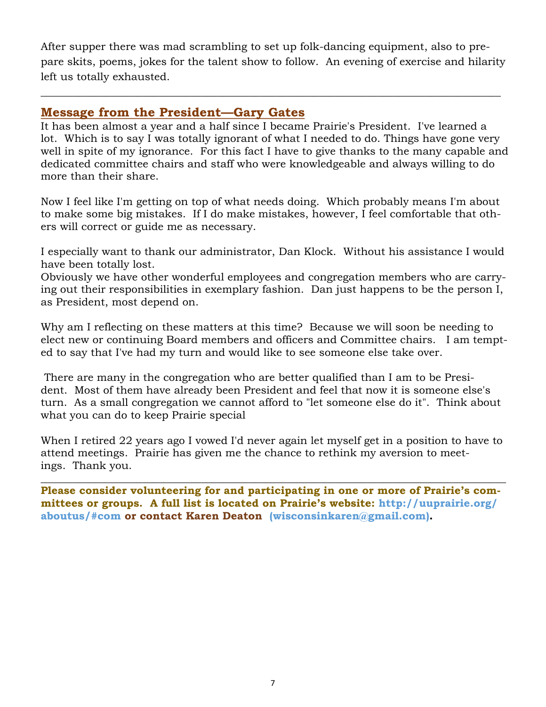After supper there was mad scrambling to set up folk-dancing equipment, also to prepare skits, poems, jokes for the talent show to follow. An evening of exercise and hilarity left us totally exhausted.

 $\_$  , and the set of the set of the set of the set of the set of the set of the set of the set of the set of the set of the set of the set of the set of the set of the set of the set of the set of the set of the set of th

### **Message from the President—Gary Gates**

It has been almost a year and a half since I became Prairie's President. I've learned a lot. Which is to say I was totally ignorant of what I needed to do. Things have gone very well in spite of my ignorance. For this fact I have to give thanks to the many capable and dedicated committee chairs and staff who were knowledgeable and always willing to do more than their share.

Now I feel like I'm getting on top of what needs doing. Which probably means I'm about to make some big mistakes. If I do make mistakes, however, I feel comfortable that others will correct or guide me as necessary.

I especially want to thank our administrator, Dan Klock. Without his assistance I would have been totally lost.

Obviously we have other wonderful employees and congregation members who are carrying out their responsibilities in exemplary fashion. Dan just happens to be the person I, as President, most depend on.

Why am I reflecting on these matters at this time? Because we will soon be needing to elect new or continuing Board members and officers and Committee chairs. I am tempted to say that I've had my turn and would like to see someone else take over.

There are many in the congregation who are better qualified than I am to be President. Most of them have already been President and feel that now it is someone else's turn. As a small congregation we cannot afford to "let someone else do it". Think about what you can do to keep Prairie special

When I retired 22 years ago I vowed I'd never again let myself get in a position to have to attend meetings. Prairie has given me the chance to rethink my aversion to meetings. Thank you.

 $\_$  , and the set of the set of the set of the set of the set of the set of the set of the set of the set of the set of the set of the set of the set of the set of the set of the set of the set of the set of the set of th

**Please consider volunteering for and participating in one or more of Prairie's committees or groups. A full list is located on Prairie's website: http://uuprairie.org/ aboutus/#com or contact Karen Deaton (wisconsinkaren@gmail.com).**